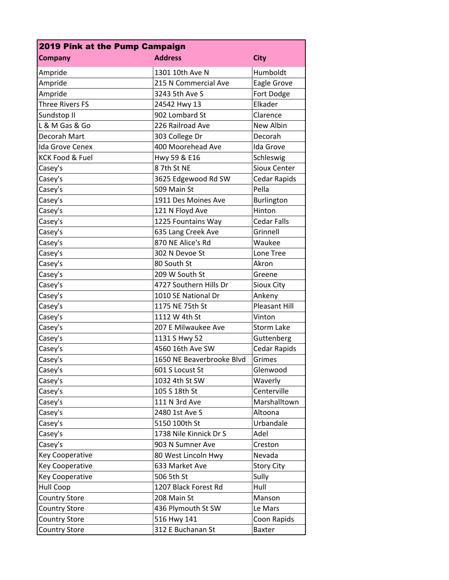| 2019 Pink at the Pump Campaign |                           |                      |  |
|--------------------------------|---------------------------|----------------------|--|
| <b>Company</b>                 | <b>Address</b>            | <b>City</b>          |  |
| Ampride                        | 1301 10th Ave N           | Humboldt             |  |
| Ampride                        | 215 N Commercial Ave      | Eagle Grove          |  |
| Ampride                        | 3243 5th Ave S            | Fort Dodge           |  |
| <b>Three Rivers FS</b>         | 24542 Hwy 13              | Elkader              |  |
| Sundstop II                    | 902 Lombard St            | Clarence             |  |
| L & M Gas & Go                 | 226 Railroad Ave          | New Albin            |  |
| Decorah Mart                   | 303 College Dr            | Decorah              |  |
| <b>Ida Grove Cenex</b>         | 400 Moorehead Ave         | Ida Grove            |  |
| <b>KCK Food &amp; Fuel</b>     | Hwy 59 & E16              | Schleswig            |  |
| Casey's                        | 87th St NE                | <b>Sioux Center</b>  |  |
| Casey's                        | 3625 Edgewood Rd SW       | <b>Cedar Rapids</b>  |  |
| Casey's                        | 509 Main St               | Pella                |  |
| Casey's                        | 1911 Des Moines Ave       | <b>Burlington</b>    |  |
| Casey's                        | 121 N Floyd Ave           | Hinton               |  |
| Casey's                        | 1225 Fountains Way        | <b>Cedar Falls</b>   |  |
| Casey's                        | 635 Lang Creek Ave        | Grinnell             |  |
| Casey's                        | 870 NE Alice's Rd         | Waukee               |  |
| Casey's                        | 302 N Devoe St            | Lone Tree            |  |
| Casey's                        | 80 South St               | Akron                |  |
| Casey's                        | 209 W South St            | Greene               |  |
| Casey's                        | 4727 Southern Hills Dr    | Sioux City           |  |
| Casey's                        | 1010 SE National Dr       | Ankeny               |  |
| Casey's                        | 1175 NE 75th St           | <b>Pleasant Hill</b> |  |
| Casey's                        | 1112 W 4th St             | Vinton               |  |
| Casey's                        | 207 E Milwaukee Ave       | <b>Storm Lake</b>    |  |
| Casey's                        | 1131 S Hwy 52             | Guttenberg           |  |
| Casey's                        | 4560 16th Ave SW          | Cedar Rapids         |  |
| Casey's                        | 1650 NE Beaverbrooke Blvd | Grimes               |  |
| Casey's                        | 601 S Locust St           | Glenwood             |  |
| Casey's                        | 1032 4th St SW            | Waverly              |  |
| Casey's                        | 105 S 18th St             | Centerville          |  |
| Casey's                        | 111 N 3rd Ave             | Marshalltown         |  |
| Casey's                        | 2480 1st Ave S            | Altoona              |  |
| Casey's                        | 5150 100th St             | Urbandale            |  |
| Casey's                        | 1738 Nile Kinnick Dr S    | Adel                 |  |
| Casey's                        | 903 N Sumner Ave          | Creston              |  |
| <b>Key Cooperative</b>         | 80 West Lincoln Hwy       | Nevada               |  |
| Key Cooperative                | 633 Market Ave            | <b>Story City</b>    |  |
| Key Cooperative                | 506 5th St                | Sully                |  |
| Hull Coop                      | 1207 Black Forest Rd      | Hull                 |  |
| <b>Country Store</b>           | 208 Main St               | Manson               |  |
| <b>Country Store</b>           | 436 Plymouth St SW        | Le Mars              |  |
| <b>Country Store</b>           | 516 Hwy 141               | Coon Rapids          |  |
| <b>Country Store</b>           | 312 E Buchanan St         | <b>Baxter</b>        |  |